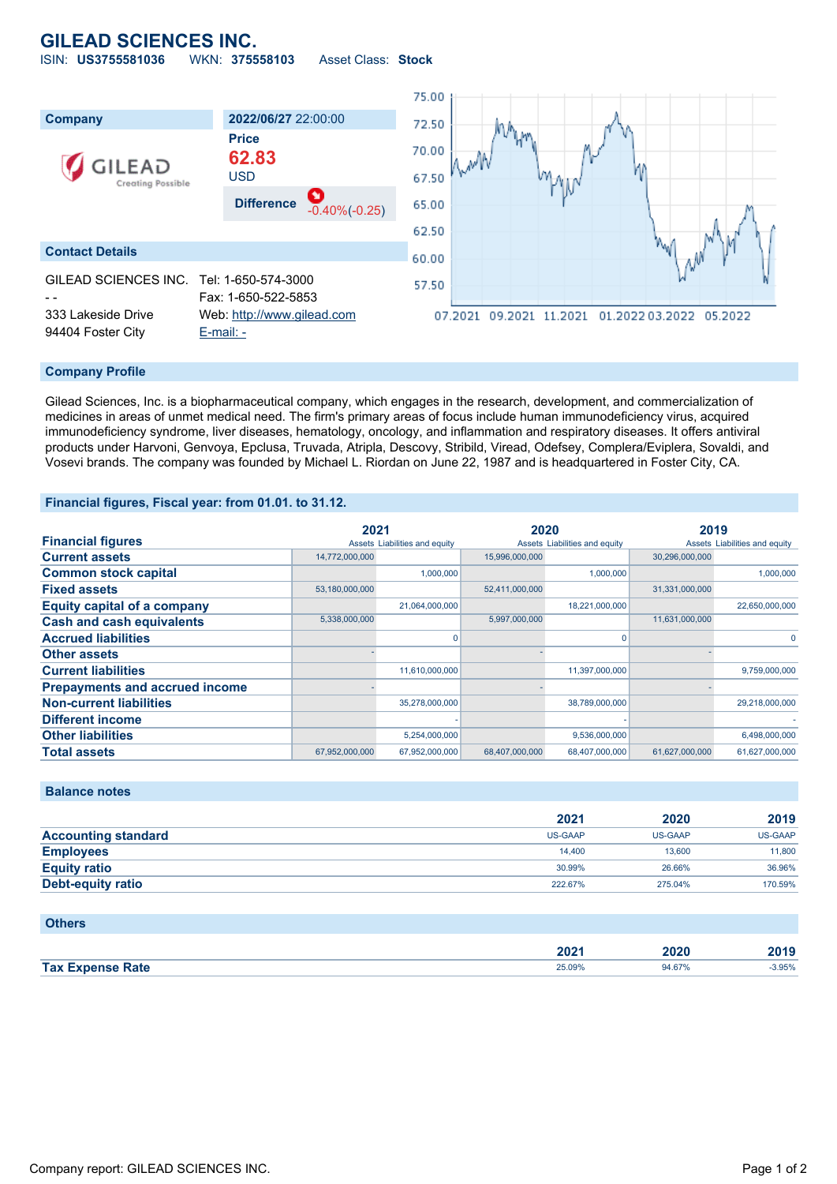## **GILEAD SCIENCES INC.** ISIN: **US3755581036** WKN: **375558103** Asset Class: **Stock**

75.00 **Company 2022/06/27** 22:00:00 72.50 **Price** 70.00 **62.83 EAD** USD 67.50 Creating Possible **Difference** -0.40%(-0.25) 65.00 62.50 **Contact Details** 60.00 GILEAD SCIENCES INC. Tel: 1-650-574-3000 57.50 - - Fax: 1-650-522-5853 333 Lakeside Drive Web: [http://www.gilead.com](http://www.gilead.com/) 07.2021 09.2021 11.2021 01.2022 03.2022 05.2022 94404 Foster City [E-mail: -](mailto:-)

### **Company Profile**

Gilead Sciences, Inc. is a biopharmaceutical company, which engages in the research, development, and commercialization of medicines in areas of unmet medical need. The firm's primary areas of focus include human immunodeficiency virus, acquired immunodeficiency syndrome, liver diseases, hematology, oncology, and inflammation and respiratory diseases. It offers antiviral products under Harvoni, Genvoya, Epclusa, Truvada, Atripla, Descovy, Stribild, Viread, Odefsey, Complera/Eviplera, Sovaldi, and Vosevi brands. The company was founded by Michael L. Riordan on June 22, 1987 and is headquartered in Foster City, CA.

#### **Financial figures, Fiscal year: from 01.01. to 31.12.**

|                                       | 2021           |                               | 2020           |                               | 2019           |                               |
|---------------------------------------|----------------|-------------------------------|----------------|-------------------------------|----------------|-------------------------------|
| <b>Financial figures</b>              |                | Assets Liabilities and equity |                | Assets Liabilities and equity |                | Assets Liabilities and equity |
| <b>Current assets</b>                 | 14,772,000,000 |                               | 15,996,000,000 |                               | 30,296,000,000 |                               |
| <b>Common stock capital</b>           |                | 1,000,000                     |                | 1,000,000                     |                | 1,000,000                     |
| <b>Fixed assets</b>                   | 53,180,000,000 |                               | 52,411,000,000 |                               | 31,331,000,000 |                               |
| <b>Equity capital of a company</b>    |                | 21,064,000,000                |                | 18,221,000,000                |                | 22,650,000,000                |
| <b>Cash and cash equivalents</b>      | 5,338,000,000  |                               | 5,997,000,000  |                               | 11,631,000,000 |                               |
| <b>Accrued liabilities</b>            |                |                               |                | O                             |                | $\Omega$                      |
| <b>Other assets</b>                   |                |                               |                |                               |                |                               |
| <b>Current liabilities</b>            |                | 11,610,000,000                |                | 11,397,000,000                |                | 9,759,000,000                 |
| <b>Prepayments and accrued income</b> |                |                               |                |                               |                |                               |
| <b>Non-current liabilities</b>        |                | 35,278,000,000                |                | 38,789,000,000                |                | 29,218,000,000                |
| <b>Different income</b>               |                |                               |                |                               |                |                               |
| <b>Other liabilities</b>              |                | 5,254,000,000                 |                | 9,536,000,000                 |                | 6,498,000,000                 |
| <b>Total assets</b>                   | 67,952,000,000 | 67,952,000,000                | 68,407,000,000 | 68,407,000,000                | 61,627,000,000 | 61,627,000,000                |

# **Balance notes**

|                            | 2021           | 2020           | 2019           |
|----------------------------|----------------|----------------|----------------|
| <b>Accounting standard</b> | <b>US-GAAP</b> | <b>US-GAAP</b> | <b>US-GAAP</b> |
| <b>Employees</b>           | 14.400         | 13,600         | 11,800         |
| <b>Equity ratio</b>        | 30.99%         | 26.66%         | 36.96%         |
| Debt-equity ratio          | 222.67%        | 275.04%        | 170.59%        |

#### **Others**

|                             | החר<br>ZUZ | 2020 | $-1$  |
|-----------------------------|------------|------|-------|
| <b>Tax</b><br>Rate<br>7 M T | 25.UY%     | 67%  | 1.95% |